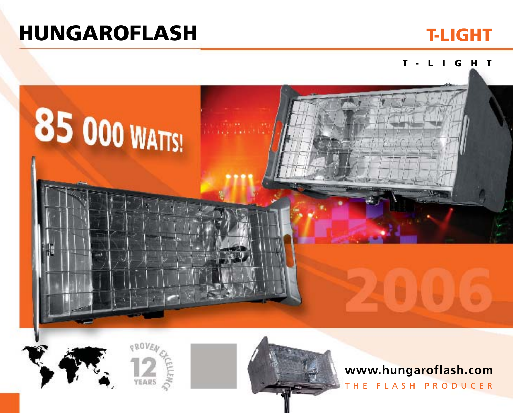# **HUNGAROFLASH T-LIGHT**



### **T- L IG H T**